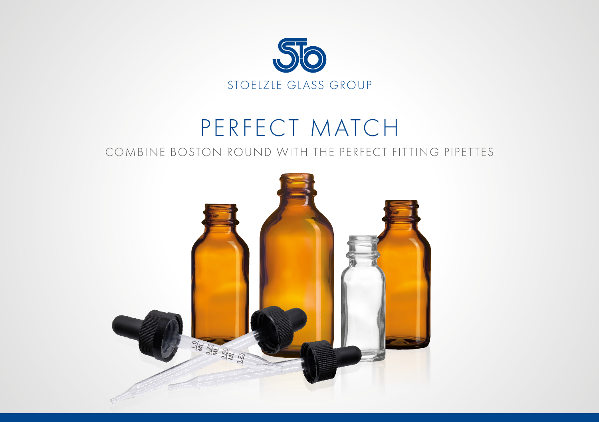

### PERFECT MATCH COMBINE BOSTON ROUND WITH THE PERFECT FITTING PIPETTES

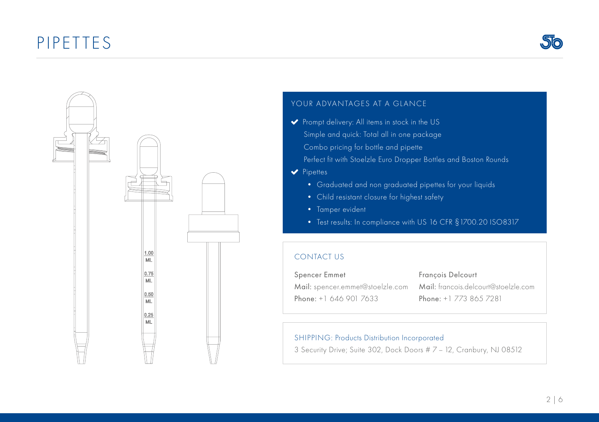## PIPETTES





### YOUR ADVANTAGES AT A GLANCE

- Prompt delivery: All items in stock in the US Simple and quick: Total all in one package Combo pricing for bottle and pipette Perfect fit with Stoelzle Euro Dropper Bottles and Boston Rounds
- $\blacktriangleright$  Pipettes
	- Graduated and non graduated pipettes for your liquids
	- Child resistant closure for highest safety
	- Tamper evident
	- Test results: In compliance with US 16 CFR §1700.20 ISO8317

#### CONTACT US

| Spencer Emmet          | Francois Delcourt      |
|------------------------|------------------------|
|                        |                        |
| Phone: +1 646 901 7633 | Phone: +1 773 865 7281 |

### SHIPPING: Products Distribution Incorporated

3 Security Drive; Suite 302, Dock Doors # 7 – 12, Cranbury, NJ 08512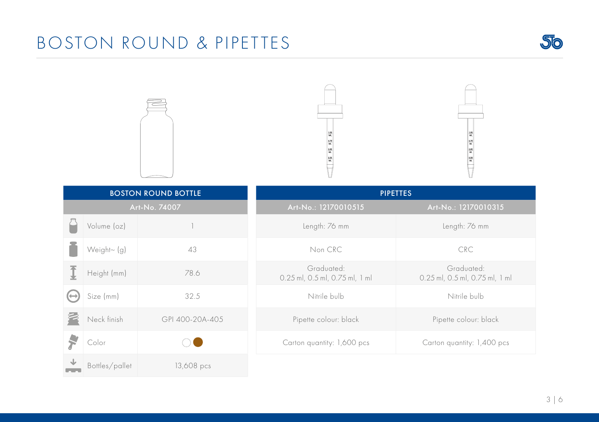# BOSTON ROUND & PIPETTES









| <b>BOSTON ROUND BOTTLE</b> |                |                 | <b>PIPETTES</b>                              |                                              |
|----------------------------|----------------|-----------------|----------------------------------------------|----------------------------------------------|
| Art-No. 74007              |                |                 | Art-No.: 12170010515                         | Art-No.: 12170010315                         |
|                            | Volume (oz)    |                 | Length: 76 mm                                | Length: 76 mm                                |
|                            | Weight~ (g)    | 43              | Non CRC                                      | <b>CRC</b>                                   |
|                            | Height (mm)    | 78.6            | Graduated:<br>0.25 ml, 0.5 ml, 0.75 ml, 1 ml | Graduated:<br>0.25 ml, 0.5 ml, 0.75 ml, 1 ml |
|                            | Size (mm)      | 32.5            | Nitrile bulb                                 | Nitrile bulb                                 |
|                            | Neck finish    | GPI 400-20A-405 | Pipette colour: black                        | Pipette colour: black                        |
|                            | Color          |                 | Carton quantity: 1,600 pcs                   | Carton quantity: 1,400 pcs                   |
|                            | Bottles/pallet | 13,608 pcs      |                                              |                                              |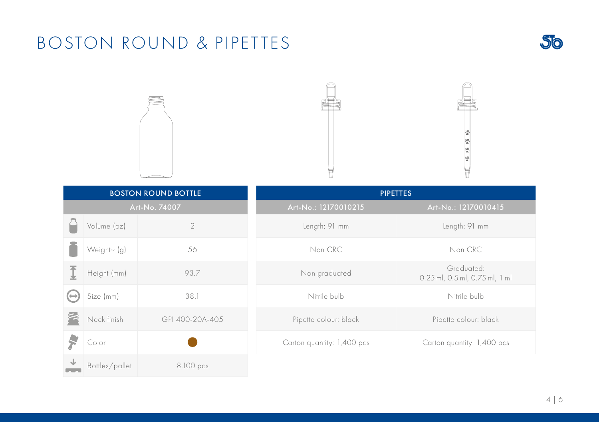# BOSTON ROUND & PIPETTES









| <b>BOSTON ROUND BOTTLE</b> |                |                 | <b>PIPETTES</b>            |                                              |
|----------------------------|----------------|-----------------|----------------------------|----------------------------------------------|
| Art-No. 74007              |                |                 | Art-No.: 12170010215       | Art-No.: 12170010415                         |
|                            | Volume (oz)    | $\overline{2}$  | Length: 91 mm              | Length: 91 mm                                |
|                            | Weight~ (g)    | 56              | Non CRC                    | Non CRC                                      |
|                            | Height (mm)    | 93.7            | Non graduated              | Graduated:<br>0.25 ml, 0.5 ml, 0.75 ml, 1 ml |
| (↔                         | Size (mm)      | 38.1            | Nitrile bulb               | Nitrile bulb                                 |
|                            | Neck finish    | GPI 400-20A-405 | Pipette colour: black      | Pipette colour: black                        |
|                            | Color          |                 | Carton quantity: 1,400 pcs | Carton quantity: 1,400 pcs                   |
|                            | Bottles/pallet | 8,100 pcs       |                            |                                              |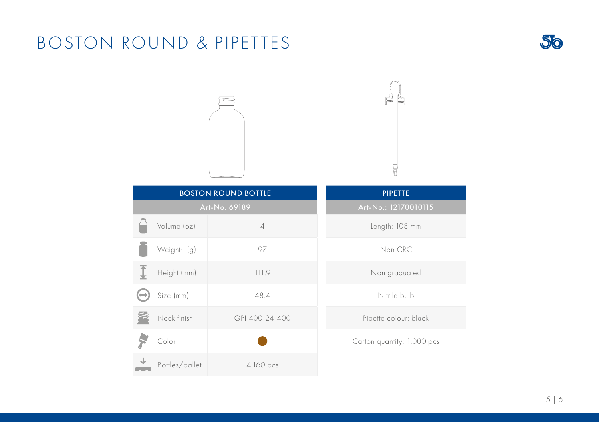# BOSTON ROUND & PIPETTES







|   |                | <b>BOSTON ROUND BOTTLE</b> | <b>PIPETTE</b>             |
|---|----------------|----------------------------|----------------------------|
|   |                | Art-No. 69189              | Art-No.: 12170010115       |
|   | Volume (oz)    | $\overline{\mathcal{A}}$   | Length: 108 mm             |
|   | Weight~ (g)    | 97                         | Non CRC                    |
| Ī | Height (mm)    | 111.9                      | Non graduated              |
|   | Size (mm)      | 48.4                       | Nitrile bulb               |
|   | Neck finish    | GPI 400-24-400             | Pipette colour: black      |
|   | Color          |                            | Carton quantity: 1,000 pcs |
|   | Bottles/pallet | $4,160$ pcs                |                            |